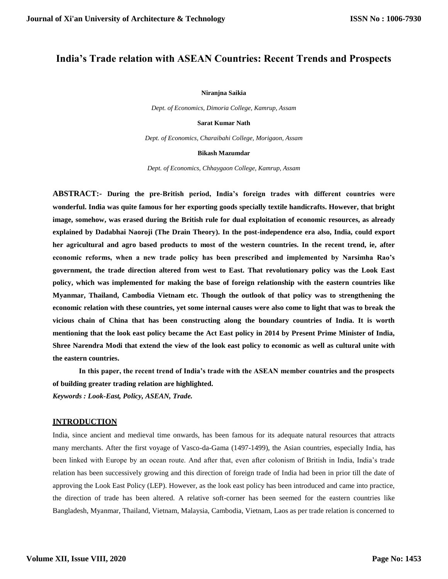# **India's Trade relation with ASEAN Countries: Recent Trends and Prospects**

#### **Niranjna Saikia**

*Dept. of Economics, Dimoria College, Kamrup, Assam*

**Sarat Kumar Nath**

*Dept. of Economics, Charaibahi College, Morigaon, Assam*

#### **Bikash Mazumdar**

*Dept. of Economics, Chhaygaon College, Kamrup, Assam*

**ABSTRACT:- During the pre-British period, India's foreign trades with different countries were wonderful. India was quite famous for her exporting goods specially textile handicrafts. However, that bright image, somehow, was erased during the British rule for dual exploitation of economic resources, as already explained by Dadabhai Naoroji (The Drain Theory). In the post-independence era also, India, could export her agricultural and agro based products to most of the western countries. In the recent trend, ie, after economic reforms, when a new trade policy has been prescribed and implemented by Narsimha Rao's government, the trade direction altered from west to East. That revolutionary policy was the Look East policy, which was implemented for making the base of foreign relationship with the eastern countries like Myanmar, Thailand, Cambodia Vietnam etc. Though the outlook of that policy was to strengthening the economic relation with these countries, yet some internal causes were also come to light that was to break the vicious chain of China that has been constructing along the boundary countries of India. It is worth mentioning that the look east policy became the Act East policy in 2014 by Present Prime Minister of India, Shree Narendra Modi that extend the view of the look east policy to economic as well as cultural unite with the eastern countries.**

**In this paper, the recent trend of India's trade with the ASEAN member countries and the prospects of building greater trading relation are highlighted.** *Keywords : Look-East, Policy, ASEAN, Trade.*

### **INTRODUCTION**

India, since ancient and medieval time onwards, has been famous for its adequate natural resources that attracts many merchants. After the first voyage of Vasco-da-Gama (1497-1499), the Asian countries, especially India, has been linked with Europe by an ocean route. And after that, even after colonism of British in India, India's trade relation has been successively growing and this direction of foreign trade of India had been in prior till the date of approving the Look East Policy (LEP). However, as the look east policy has been introduced and came into practice, the direction of trade has been altered. A relative soft-corner has been seemed for the eastern countries like Bangladesh, Myanmar, Thailand, Vietnam, Malaysia, Cambodia, Vietnam, Laos as per trade relation is concerned to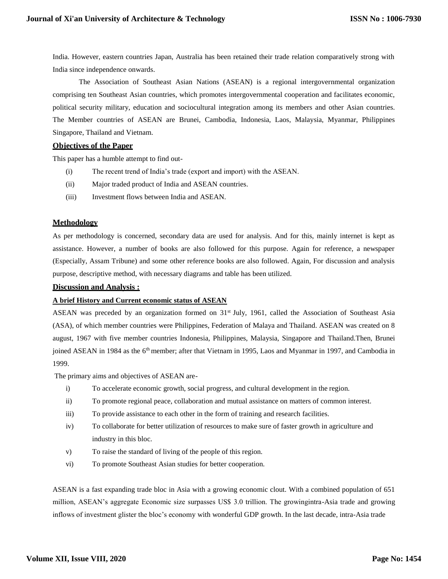India. However, eastern countries Japan, Australia has been retained their trade relation comparatively strong with India since independence onwards.

The Association of Southeast Asian Nations (ASEAN) is a regional intergovernmental organization comprising ten Southeast Asian countries, which promotes intergovernmental cooperation and facilitates economic, political security military, education and sociocultural integration among its members and other Asian countries. The Member countries of ASEAN are Brunei, Cambodia, Indonesia, Laos, Malaysia, Myanmar, Philippines Singapore, Thailand and Vietnam.

## **Objectives of the Paper**

This paper has a humble attempt to find out-

- (i) The recent trend of India's trade (export and import) with the ASEAN.
- (ii) Major traded product of India and ASEAN countries.
- (iii) Investment flows between India and ASEAN.

### **Methodology**

As per methodology is concerned, secondary data are used for analysis. And for this, mainly internet is kept as assistance. However, a number of books are also followed for this purpose. Again for reference, a newspaper (Especially, Assam Tribune) and some other reference books are also followed. Again, For discussion and analysis purpose, descriptive method, with necessary diagrams and table has been utilized.

### **Discussion and Analysis :**

#### **A brief History and Current economic status of ASEAN**

ASEAN was preceded by an organization formed on 31<sup>st</sup> July, 1961, called the Association of Southeast Asia (ASA), of which member countries were Philippines, Federation of Malaya and Thailand. ASEAN was created on 8 august, 1967 with five member countries Indonesia, Philippines, Malaysia, Singapore and Thailand.Then, Brunei joined ASEAN in 1984 as the 6<sup>th</sup> member; after that Vietnam in 1995, Laos and Myanmar in 1997, and Cambodia in 1999.

The primary aims and objectives of ASEAN are-

- i) To accelerate economic growth, social progress, and cultural development in the region.
- ii) To promote regional peace, collaboration and mutual assistance on matters of common interest.
- iii) To provide assistance to each other in the form of training and research facilities.
- iv) To collaborate for better utilization of resources to make sure of faster growth in agriculture and industry in this bloc.
- v) To raise the standard of living of the people of this region.
- vi) To promote Southeast Asian studies for better cooperation.

ASEAN is a fast expanding trade bloc in Asia with a growing economic clout. With a combined population of 651 million, ASEAN's aggregate Economic size surpasses US\$ 3.0 trillion. The growingintra-Asia trade and growing inflows of investment glister the bloc's economy with wonderful GDP growth. In the last decade, intra-Asia trade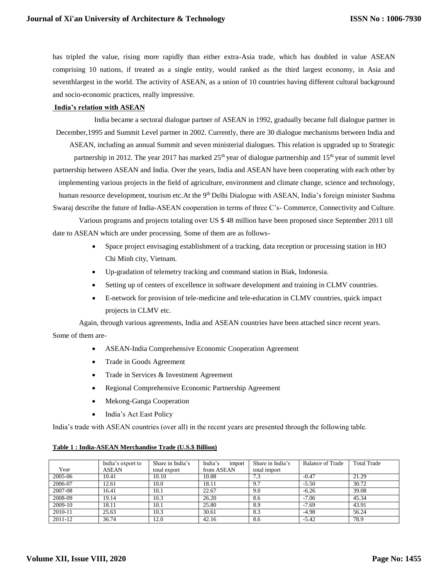has tripled the value, rising more rapidly than either extra-Asia trade, which has doubled in value ASEAN comprising 10 nations, if treated as a single entity, would ranked as the third largest economy, in Asia and seventhlargest in the world. The activity of ASEAN, as a union of 10 countries having different cultural background and socio-economic practices, really impressive.

#### **India's relation with ASEAN**

India became a sectoral dialogue partner of ASEAN in 1992, gradually became full dialogue partner in December,1995 and Summit Level partner in 2002. Currently, there are 30 dialogue mechanisms between India and ASEAN, including an annual Summit and seven ministerial dialogues. This relation is upgraded up to Strategic partnership in 2012. The year 2017 has marked  $25<sup>th</sup>$  year of dialogue partnership and  $15<sup>th</sup>$  year of summit level partnership between ASEAN and India. Over the years, India and ASEAN have been cooperating with each other by implementing various projects in the field of agriculture, environment and climate change, science and technology, human resource development, tourism etc.At the 9<sup>th</sup> Delhi Dialogue with ASEAN, India's foreign minister Sushma Swaraj describe the future of India-ASEAN cooperation in terms of three C's- Commerce, Connectivity and Culture.

Various programs and projects totaling over US \$ 48 million have been proposed since September 2011 till date to ASEAN which are under processing. Some of them are as follows-

- Space project envisaging establishment of a tracking, data reception or processing station in HO Chi Minh city, Vietnam.
- Up-gradation of telemetry tracking and command station in Biak, Indonesia.
- Setting up of centers of excellence in software development and training in CLMV countries.
- E-network for provision of tele-medicine and tele-education in CLMV countries, quick impact projects in CLMV etc.

Again, through various agreements, India and ASEAN countries have been attached since recent years. Some of them are-

- ASEAN-India Comprehensive Economic Cooperation Agreement
- Trade in Goods Agreement
- Trade in Services & Investment Agreement
- Regional Comprehensive Economic Partnership Agreement
- Mekong-Ganga Cooperation
- India's Act East Policy

India's trade with ASEAN countries (over all) in the recent years are presented through the following table.

|  | Table 1: India-ASEAN Merchandise Trade (U.S.\$ Billion) |  |  |  |
|--|---------------------------------------------------------|--|--|--|
|--|---------------------------------------------------------|--|--|--|

| Year    | India's export to<br><b>ASEAN</b> | Share in India's<br>total export | India's<br>import<br>from ASEAN | Share in India's<br>total import | <b>Balance of Trade</b> | <b>Total Trade</b> |
|---------|-----------------------------------|----------------------------------|---------------------------------|----------------------------------|-------------------------|--------------------|
| 2005-06 | 10.41                             | 10.10                            | 10.88                           | 7.3                              | $-0.47$                 | 21.29              |
| 2006-07 | 12.61                             | 10.0                             | 18.11                           | 9.7                              | $-5.50$                 | 30.72              |
| 2007-08 | 16.41                             | 10.1                             | 22.67                           | 9.0                              | $-6.26$                 | 39.08              |
| 2008-09 | 19.14                             | 10.3                             | 26.20                           | 8.6                              | $-7.06$                 | 45.34              |
| 2009-10 | 18.11                             | 10.1                             | 25.80                           | 8.9                              | $-7.69$                 | 43.91              |
| 2010-11 | 25.63                             | 10.3                             | 30.61                           | 8.3                              | $-4.98$                 | 56.24              |
| 2011-12 | 36.74                             | 12.0                             | 42.16                           | 8.6                              | $-5.42$                 | 78.9               |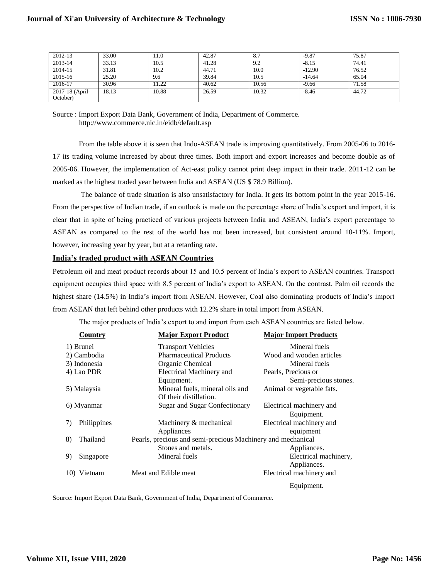| 2012-13                     | 33.00 | 11.0  | 42.87 | 8.7   | $-9.87$  | 75.87 |
|-----------------------------|-------|-------|-------|-------|----------|-------|
| 2013-14                     | 33.13 | 10.5  | 41.28 | 9.2   | $-8.15$  | 74.41 |
| 2014-15                     | 31.81 | 10.2  | 44.71 | 10.0  | $-12.90$ | 76.52 |
| 2015-16                     | 25.20 | 9.6   | 39.84 | 10.5  | $-14.64$ | 65.04 |
| 2016-17                     | 30.96 | 1.22  | 40.62 | 10.56 | $-9.66$  | 71.58 |
| 2017-18 (April-<br>October) | 18.13 | 10.88 | 26.59 | 10.32 | $-8.46$  | 44.72 |

Source : Import Export Data Bank, Government of India, Department of Commerce[.](http://www.commerce.nic.in/eidb/default.asp) <http://www.commerce.nic.in/eidb/default.asp>

From the table above it is seen that Indo-ASEAN trade is improving quantitatively. From 2005-06 to 2016- 17 its trading volume increased by about three times. Both import and export increases and become double as of 2005-06. However, the implementation of Act-east policy cannot print deep impact in their trade. 2011-12 can be marked as the highest traded year between India and ASEAN (US \$ 78.9 Billion).

The balance of trade situation is also unsatisfactory for India. It gets its bottom point in the year 2015-16. From the perspective of Indian trade, if an outlook is made on the percentage share of India's export and import, it is clear that in spite of being practiced of various projects between India and ASEAN, India's export percentage to ASEAN as compared to the rest of the world has not been increased, but consistent around 10-11%. Import, however, increasing year by year, but at a retarding rate.

## **India's traded product with ASEAN Countries**

Petroleum oil and meat product records about 15 and 10.5 percent of India's export to ASEAN countries. Transport equipment occupies third space with 8.5 percent of India's export to ASEAN. On the contrast, Palm oil records the highest share (14.5%) in India's import from ASEAN. However, Coal also dominating products of India's import from ASEAN that left behind other products with 12.2% share in total import from ASEAN.

The major products of India's export to and import from each ASEAN countries are listed below.

|    | Country      | <b>Major Export Product</b>                                 | <b>Major Import Products</b> |
|----|--------------|-------------------------------------------------------------|------------------------------|
|    | 1) Brunei    | <b>Transport Vehicles</b>                                   | Mineral fuels                |
|    | 2) Cambodia  | <b>Pharmaceutical Products</b>                              | Wood and wooden articles     |
|    | 3) Indonesia | Organic Chemical                                            | Mineral fuels                |
|    | 4) Lao PDR   | <b>Electrical Machinery and</b>                             | Pearls, Precious or          |
|    |              | Equipment.                                                  | Semi-precious stones.        |
|    | 5) Malaysia  | Mineral fuels, mineral oils and                             | Animal or vegetable fats.    |
|    |              | Of their distillation.                                      |                              |
|    | 6) Myanmar   | <b>Sugar and Sugar Confectionary</b>                        | Electrical machinery and     |
|    |              |                                                             | Equipment.                   |
| 7) | Philippines  | Machinery & mechanical                                      | Electrical machinery and     |
|    |              | Appliances                                                  | equipment                    |
| 8) | Thailand     | Pearls, precious and semi-precious Machinery and mechanical |                              |
|    |              | Stones and metals.                                          | Appliances.                  |
| 9) | Singapore    | Mineral fuels                                               | Electrical machinery,        |
|    |              |                                                             | Appliances.                  |
|    | 10) Vietnam  | Meat and Edible meat                                        | Electrical machinery and     |
|    |              |                                                             | Equipment.                   |

Source: Import Export Data Bank, Government of India, Department of Commerce.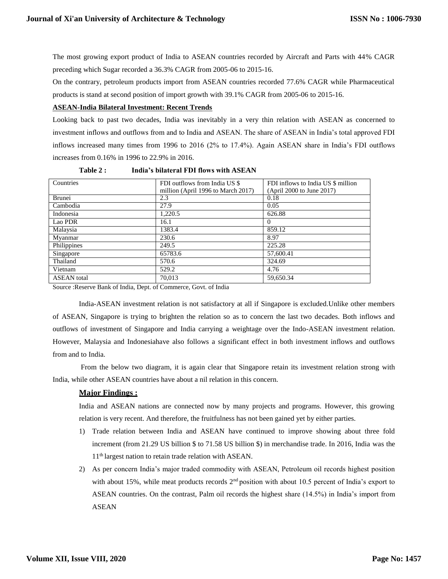The most growing export product of India to ASEAN countries recorded by Aircraft and Parts with 44% CAGR preceding which Sugar recorded a 36.3% CAGR from 2005-06 to 2015-16.

On the contrary, petroleum products import from ASEAN countries recorded 77.6% CAGR while Pharmaceutical products is stand at second position of import growth with 39.1% CAGR from 2005-06 to 2015-16.

## **ASEAN-India Bilateral Investment: Recent Trends**

Looking back to past two decades, India was inevitably in a very thin relation with ASEAN as concerned to investment inflows and outflows from and to India and ASEAN. The share of ASEAN in India's total approved FDI inflows increased many times from 1996 to 2016 (2% to 17.4%). Again ASEAN share in India's FDI outflows increases from 0.16% in 1996 to 22.9% in 2016.

| Table 2 : | India's bilateral FDI flows with ASEAN |  |
|-----------|----------------------------------------|--|
|-----------|----------------------------------------|--|

| Countries          | FDI outflows from India US \$      | FDI inflows to India US \$ million |
|--------------------|------------------------------------|------------------------------------|
|                    | million (April 1996 to March 2017) | (April 2000 to June 2017)          |
| Brunei             | 2.3                                | 0.18                               |
| Cambodia           | 27.9                               | 0.05                               |
| Indonesia          | 1,220.5                            | 626.88                             |
| Lao PDR            | 16.1                               | $\Omega$                           |
| Malaysia           | 1383.4                             | 859.12                             |
| Myanmar            | 230.6                              | 8.97                               |
| Philippines        | 249.5                              | 225.28                             |
| Singapore          | 65783.6                            | 57,600.41                          |
| Thailand           | 570.6                              | 324.69                             |
| Vietnam            | 529.2                              | 4.76                               |
| <b>ASEAN</b> total | 70,013                             | 59,650.34                          |
|                    |                                    |                                    |

Source :Reserve Bank of India, Dept. of Commerce, Govt. of India

India-ASEAN investment relation is not satisfactory at all if Singapore is excluded.Unlike other members of ASEAN, Singapore is trying to brighten the relation so as to concern the last two decades. Both inflows and outflows of investment of Singapore and India carrying a weightage over the Indo-ASEAN investment relation. However, Malaysia and Indonesiahave also follows a significant effect in both investment inflows and outflows from and to India.

From the below two diagram, it is again clear that Singapore retain its investment relation strong with India, while other ASEAN countries have about a nil relation in this concern.

# **Major Findings :**

India and ASEAN nations are connected now by many projects and programs. However, this growing relation is very recent. And therefore, the fruitfulness has not been gained yet by either parties.

- 1) Trade relation between India and ASEAN have continued to improve showing about three fold increment (from 21.29 US billion \$ to 71.58 US billion \$) in merchandise trade. In 2016, India was the 11<sup>th</sup> largest nation to retain trade relation with ASEAN.
- 2) As per concern India's major traded commodity with ASEAN, Petroleum oil records highest position with about 15%, while meat products records 2<sup>nd</sup> position with about 10.5 percent of India's export to ASEAN countries. On the contrast, Palm oil records the highest share (14.5%) in India's import from ASEAN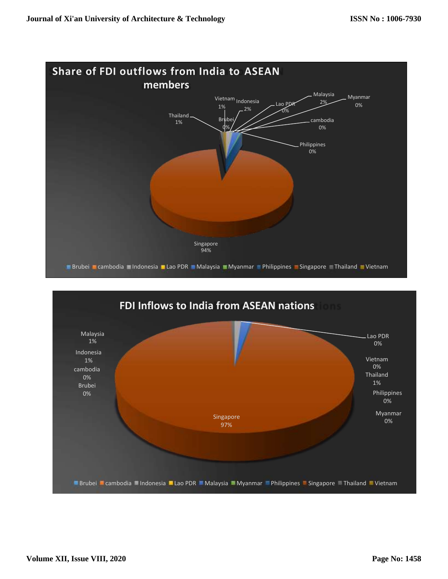

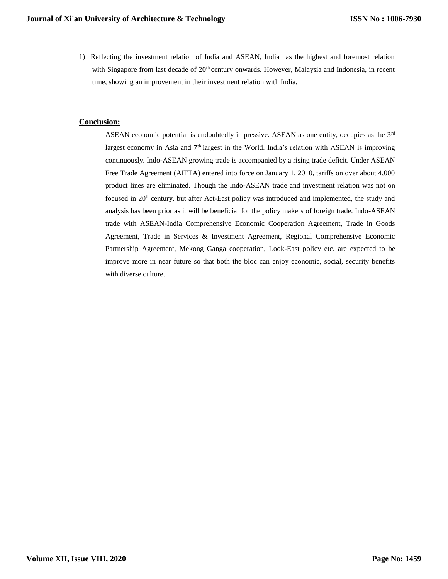1) Reflecting the investment relation of India and ASEAN, India has the highest and foremost relation with Singapore from last decade of  $20<sup>th</sup>$  century onwards. However, Malaysia and Indonesia, in recent time, showing an improvement in their investment relation with India.

## **Conclusion:**

ASEAN economic potential is undoubtedly impressive. ASEAN as one entity, occupies as the  $3<sup>rd</sup>$ largest economy in Asia and 7<sup>th</sup> largest in the World. India's relation with ASEAN is improving continuously. Indo-ASEAN growing trade is accompanied by a rising trade deficit. Under ASEAN Free Trade Agreement (AIFTA) entered into force on January 1, 2010, tariffs on over about 4,000 product lines are eliminated. Though the Indo-ASEAN trade and investment relation was not on focused in 20<sup>th</sup> century, but after Act-East policy was introduced and implemented, the study and analysis has been prior as it will be beneficial for the policy makers of foreign trade. Indo-ASEAN trade with ASEAN-India Comprehensive Economic Cooperation Agreement, Trade in Goods Agreement, Trade in Services & Investment Agreement, Regional Comprehensive Economic Partnership Agreement, Mekong Ganga cooperation, Look-East policy etc. are expected to be improve more in near future so that both the bloc can enjoy economic, social, security benefits with diverse culture.